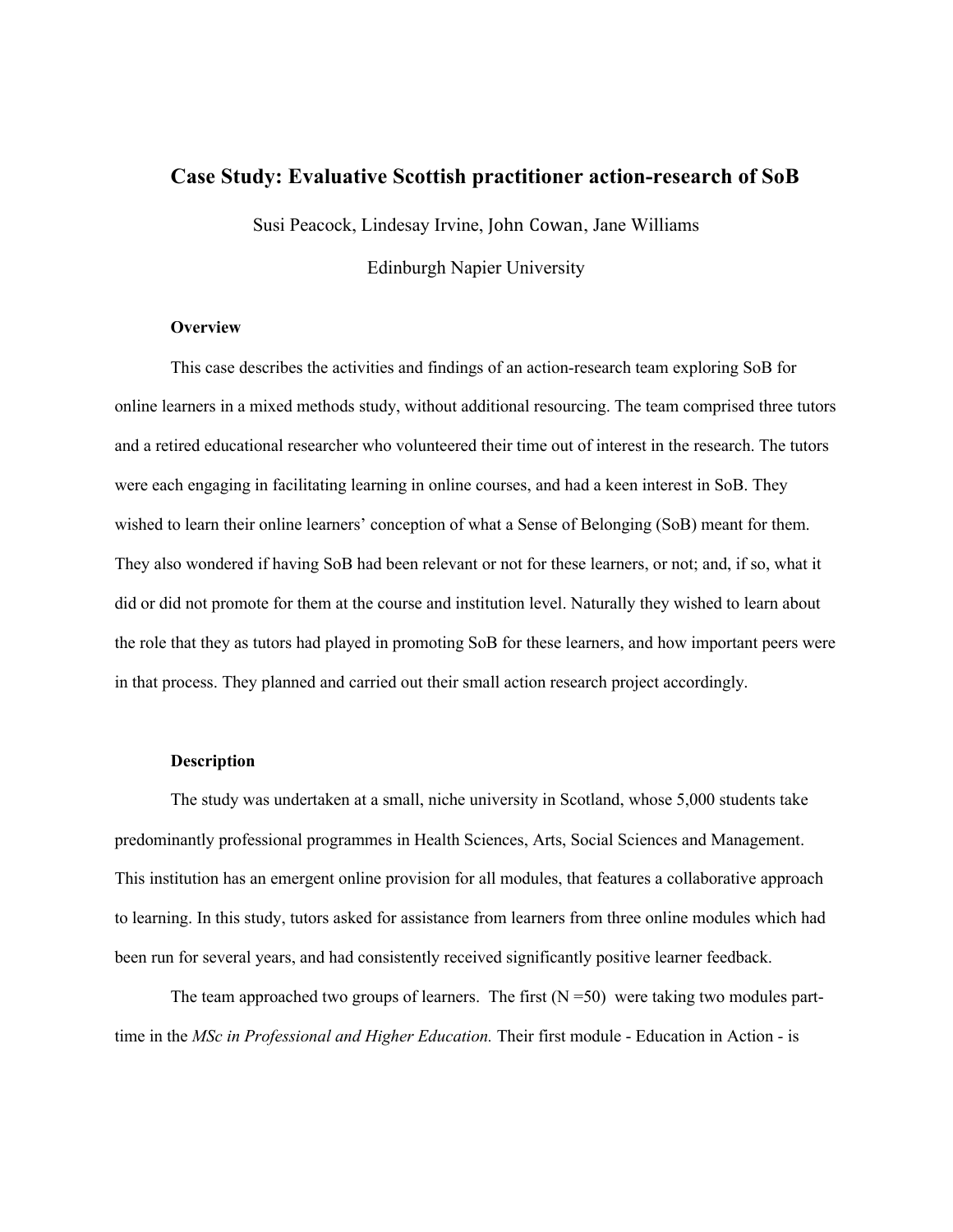# **Case Study: Evaluative Scottish practitioner action-research of SoB**

Susi Peacock, Lindesay Irvine, John Cowan, Jane Williams

Edinburgh Napier University

#### **Overview**

This case describes the activities and findings of an action-research team exploring SoB for online learners in a mixed methods study, without additional resourcing. The team comprised three tutors and a retired educational researcher who volunteered their time out of interest in the research. The tutors were each engaging in facilitating learning in online courses, and had a keen interest in SoB. They wished to learn their online learners' conception of what a Sense of Belonging (SoB) meant for them. They also wondered if having SoB had been relevant or not for these learners, or not; and, if so, what it did or did not promote for them at the course and institution level. Naturally they wished to learn about the role that they as tutors had played in promoting SoB for these learners, and how important peers were in that process. They planned and carried out their small action research project accordingly.

# **Description**

The study was undertaken at a small, niche university in Scotland, whose 5,000 students take predominantly professional programmes in Health Sciences, Arts, Social Sciences and Management. This institution has an emergent online provision for all modules, that features a collaborative approach to learning. In this study, tutors asked for assistance from learners from three online modules which had been run for several years, and had consistently received significantly positive learner feedback.

The team approached two groups of learners. The first  $(N = 50)$  were taking two modules parttime in the *MSc in Professional and Higher Education.* Their first module - Education in Action - is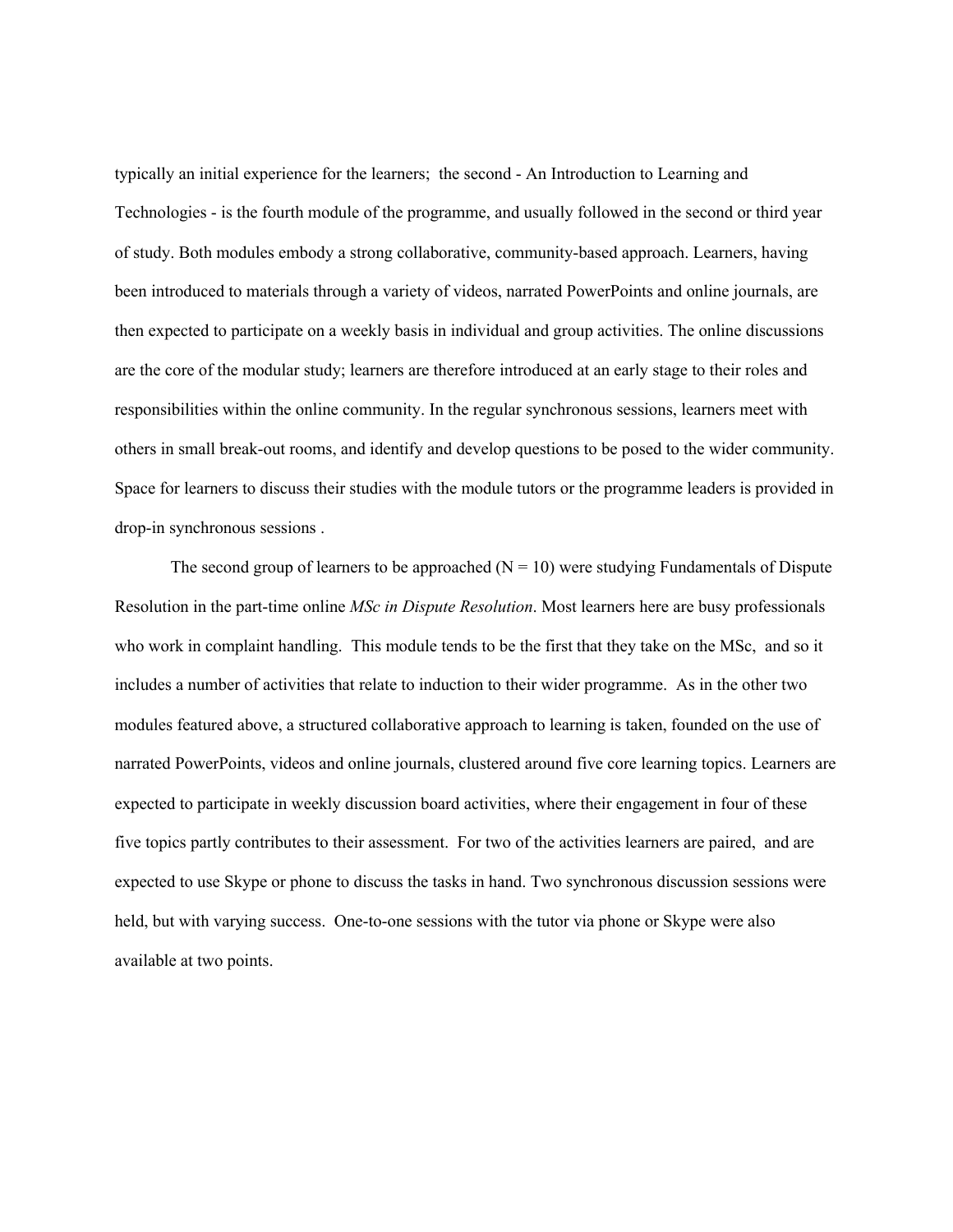typically an initial experience for the learners; the second - An Introduction to Learning and Technologies - is the fourth module of the programme, and usually followed in the second or third year of study. Both modules embody a strong collaborative, community-based approach. Learners, having been introduced to materials through a variety of videos, narrated PowerPoints and online journals, are then expected to participate on a weekly basis in individual and group activities. The online discussions are the core of the modular study; learners are therefore introduced at an early stage to their roles and responsibilities within the online community. In the regular synchronous sessions, learners meet with others in small break-out rooms, and identify and develop questions to be posed to the wider community. Space for learners to discuss their studies with the module tutors or the programme leaders is provided in drop-in synchronous sessions .

The second group of learners to be approached  $(N = 10)$  were studying Fundamentals of Dispute Resolution in the part-time online *MSc in Dispute Resolution*. Most learners here are busy professionals who work in complaint handling. This module tends to be the first that they take on the MSc, and so it includes a number of activities that relate to induction to their wider programme. As in the other two modules featured above, a structured collaborative approach to learning is taken, founded on the use of narrated PowerPoints, videos and online journals, clustered around five core learning topics. Learners are expected to participate in weekly discussion board activities, where their engagement in four of these five topics partly contributes to their assessment. For two of the activities learners are paired, and are expected to use Skype or phone to discuss the tasks in hand. Two synchronous discussion sessions were held, but with varying success. One-to-one sessions with the tutor via phone or Skype were also available at two points.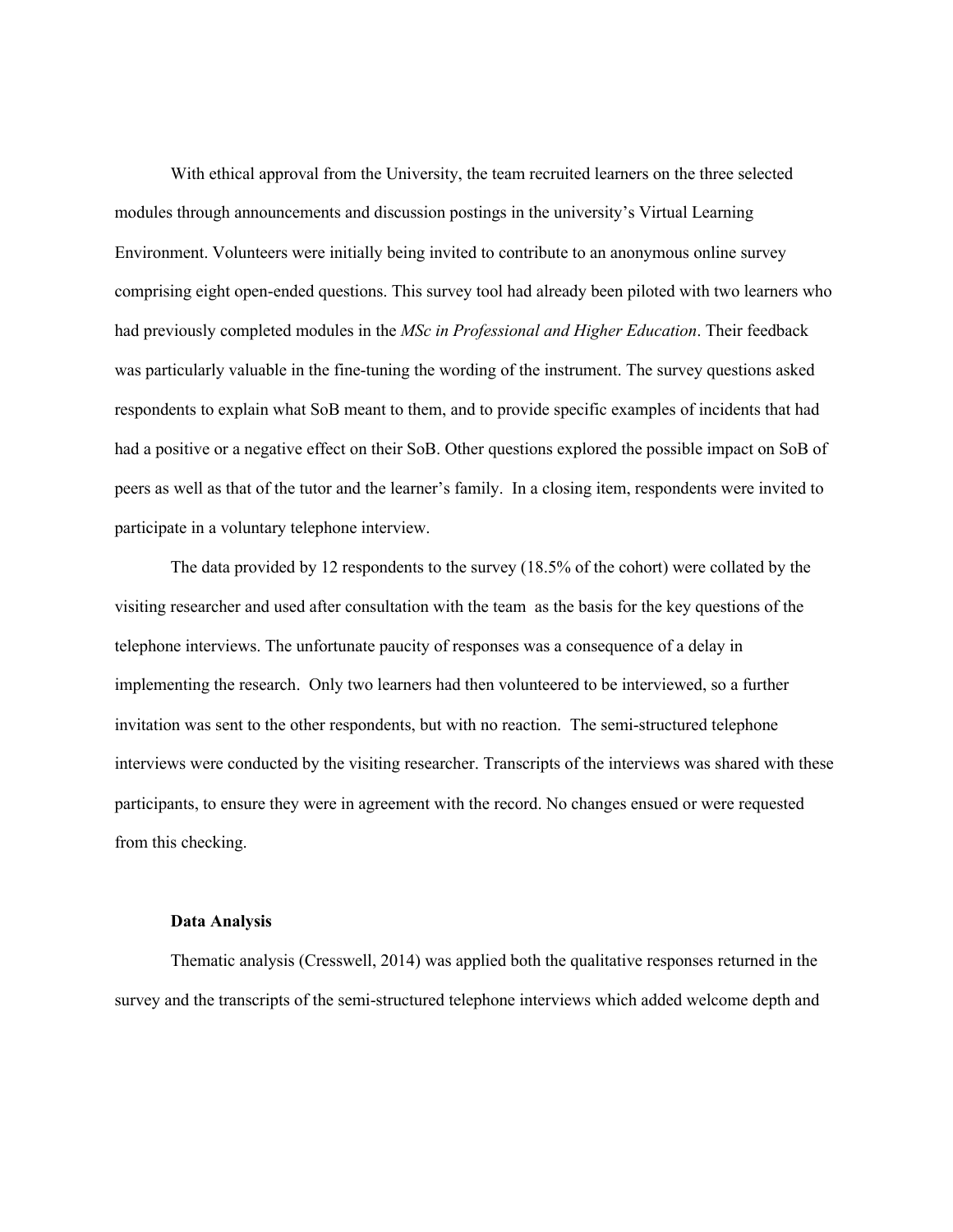With ethical approval from the University, the team recruited learners on the three selected modules through announcements and discussion postings in the university's Virtual Learning Environment. Volunteers were initially being invited to contribute to an anonymous online survey comprising eight open-ended questions. This survey tool had already been piloted with two learners who had previously completed modules in the *MSc in Professional and Higher Education*. Their feedback was particularly valuable in the fine-tuning the wording of the instrument. The survey questions asked respondents to explain what SoB meant to them, and to provide specific examples of incidents that had had a positive or a negative effect on their SoB. Other questions explored the possible impact on SoB of peers as well as that of the tutor and the learner's family. In a closing item, respondents were invited to participate in a voluntary telephone interview.

The data provided by 12 respondents to the survey (18.5% of the cohort) were collated by the visiting researcher and used after consultation with the team as the basis for the key questions of the telephone interviews. The unfortunate paucity of responses was a consequence of a delay in implementing the research. Only two learners had then volunteered to be interviewed, so a further invitation was sent to the other respondents, but with no reaction. The semi-structured telephone interviews were conducted by the visiting researcher. Transcripts of the interviews was shared with these participants, to ensure they were in agreement with the record. No changes ensued or were requested from this checking.

# **Data Analysis**

Thematic analysis (Cresswell, 2014) was applied both the qualitative responses returned in the survey and the transcripts of the semi-structured telephone interviews which added welcome depth and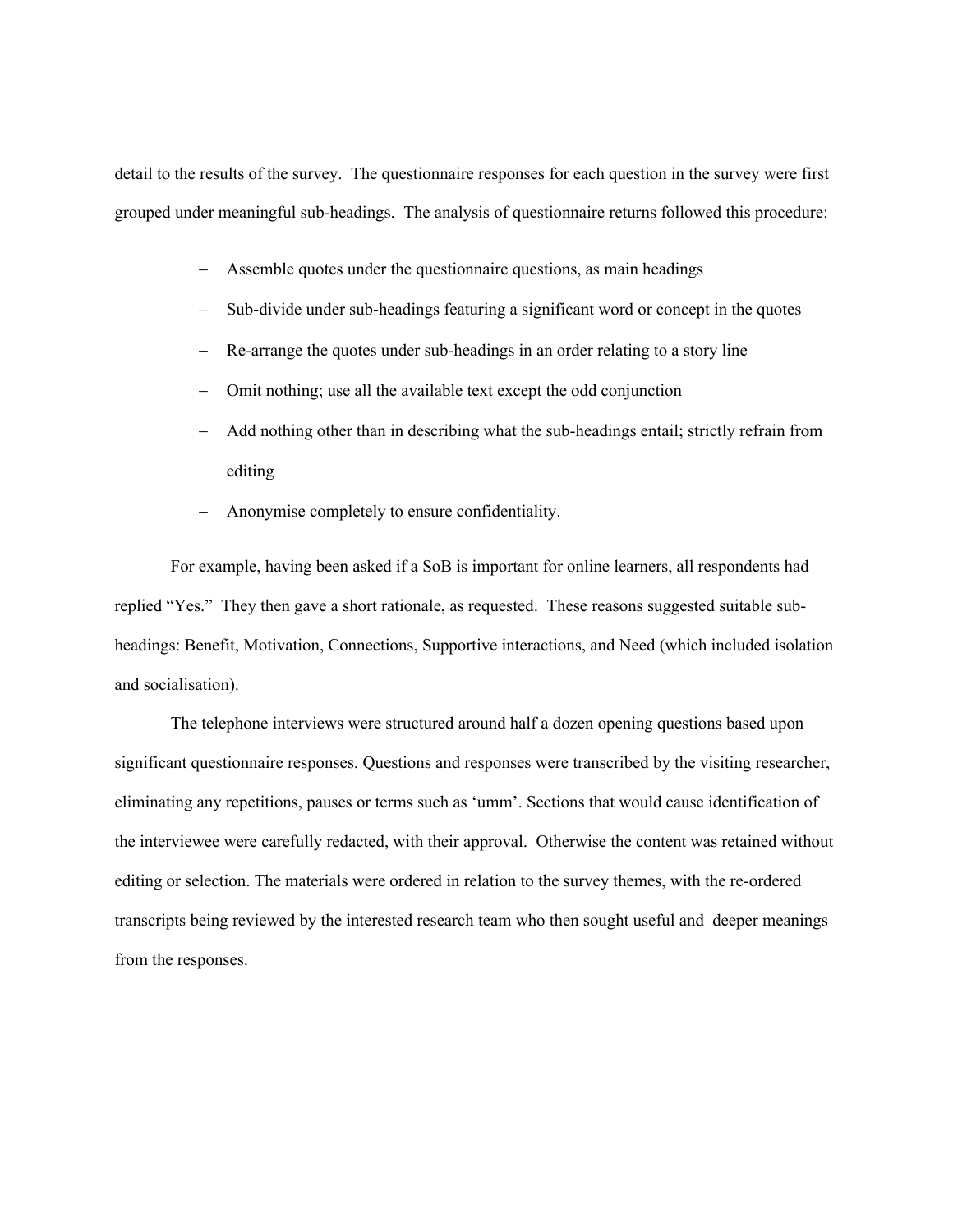detail to the results of the survey. The questionnaire responses for each question in the survey were first grouped under meaningful sub-headings. The analysis of questionnaire returns followed this procedure:

- Assemble quotes under the questionnaire questions, as main headings
- Sub-divide under sub-headings featuring a significant word or concept in the quotes
- Re-arrange the quotes under sub-headings in an order relating to a story line
- Omit nothing; use all the available text except the odd conjunction
- Add nothing other than in describing what the sub-headings entail; strictly refrain from editing
- Anonymise completely to ensure confidentiality.

For example, having been asked if a SoB is important for online learners, all respondents had replied "Yes." They then gave a short rationale, as requested. These reasons suggested suitable subheadings: Benefit, Motivation, Connections, Supportive interactions, and Need (which included isolation and socialisation).

The telephone interviews were structured around half a dozen opening questions based upon significant questionnaire responses. Questions and responses were transcribed by the visiting researcher, eliminating any repetitions, pauses or terms such as 'umm'. Sections that would cause identification of the interviewee were carefully redacted, with their approval. Otherwise the content was retained without editing or selection. The materials were ordered in relation to the survey themes, with the re-ordered transcripts being reviewed by the interested research team who then sought useful and deeper meanings from the responses.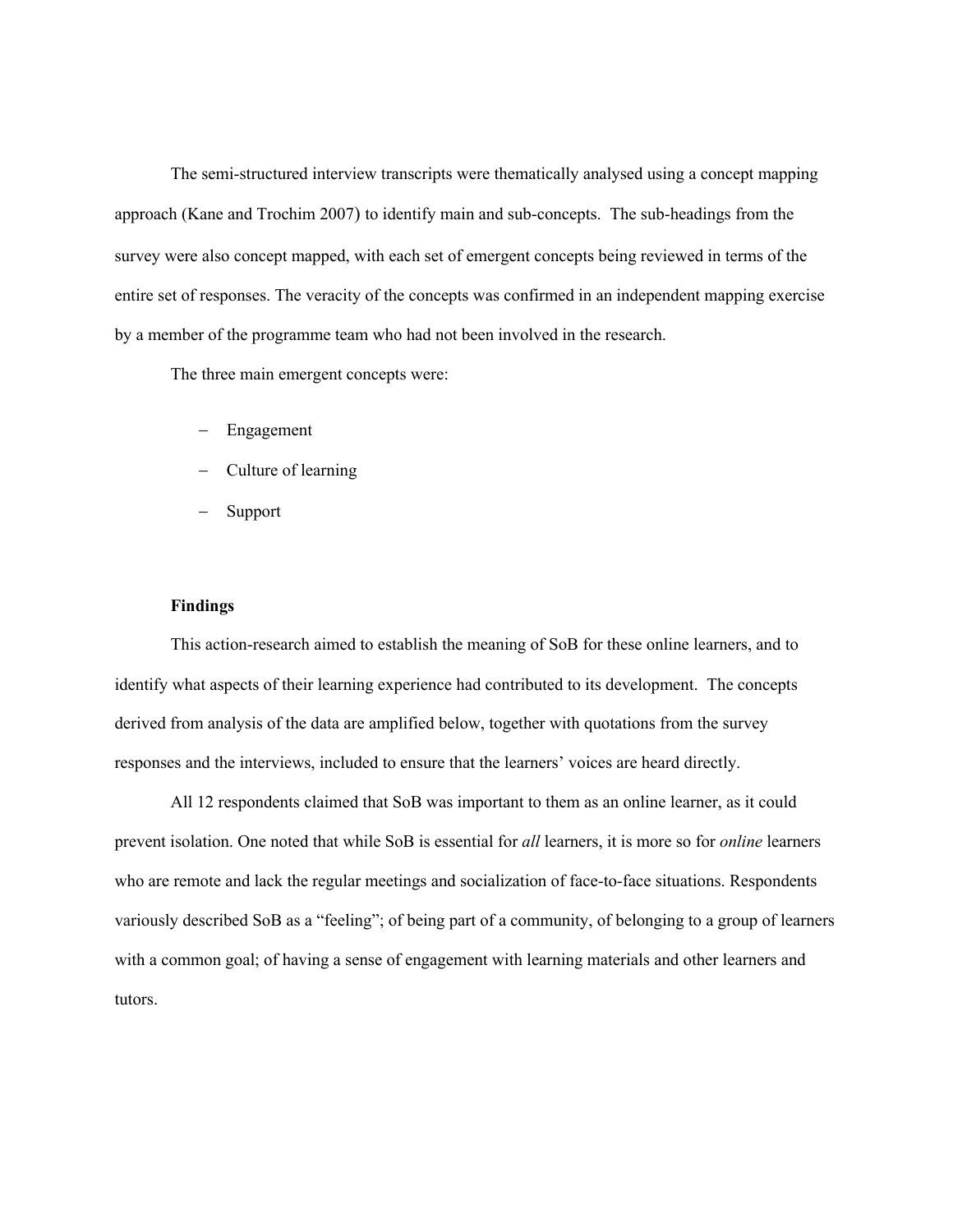The semi-structured interview transcripts were thematically analysed using a concept mapping approach (Kane and Trochim 2007) to identify main and sub-concepts. The sub-headings from the survey were also concept mapped, with each set of emergent concepts being reviewed in terms of the entire set of responses. The veracity of the concepts was confirmed in an independent mapping exercise by a member of the programme team who had not been involved in the research.

The three main emergent concepts were:

- Engagement
- Culture of learning
- Support

# **Findings**

This action-research aimed to establish the meaning of SoB for these online learners, and to identify what aspects of their learning experience had contributed to its development. The concepts derived from analysis of the data are amplified below, together with quotations from the survey responses and the interviews, included to ensure that the learners' voices are heard directly.

All 12 respondents claimed that SoB was important to them as an online learner, as it could prevent isolation. One noted that while SoB is essential for *all* learners, it is more so for *online* learners who are remote and lack the regular meetings and socialization of face-to-face situations. Respondents variously described SoB as a "feeling"; of being part of a community, of belonging to a group of learners with a common goal; of having a sense of engagement with learning materials and other learners and tutors.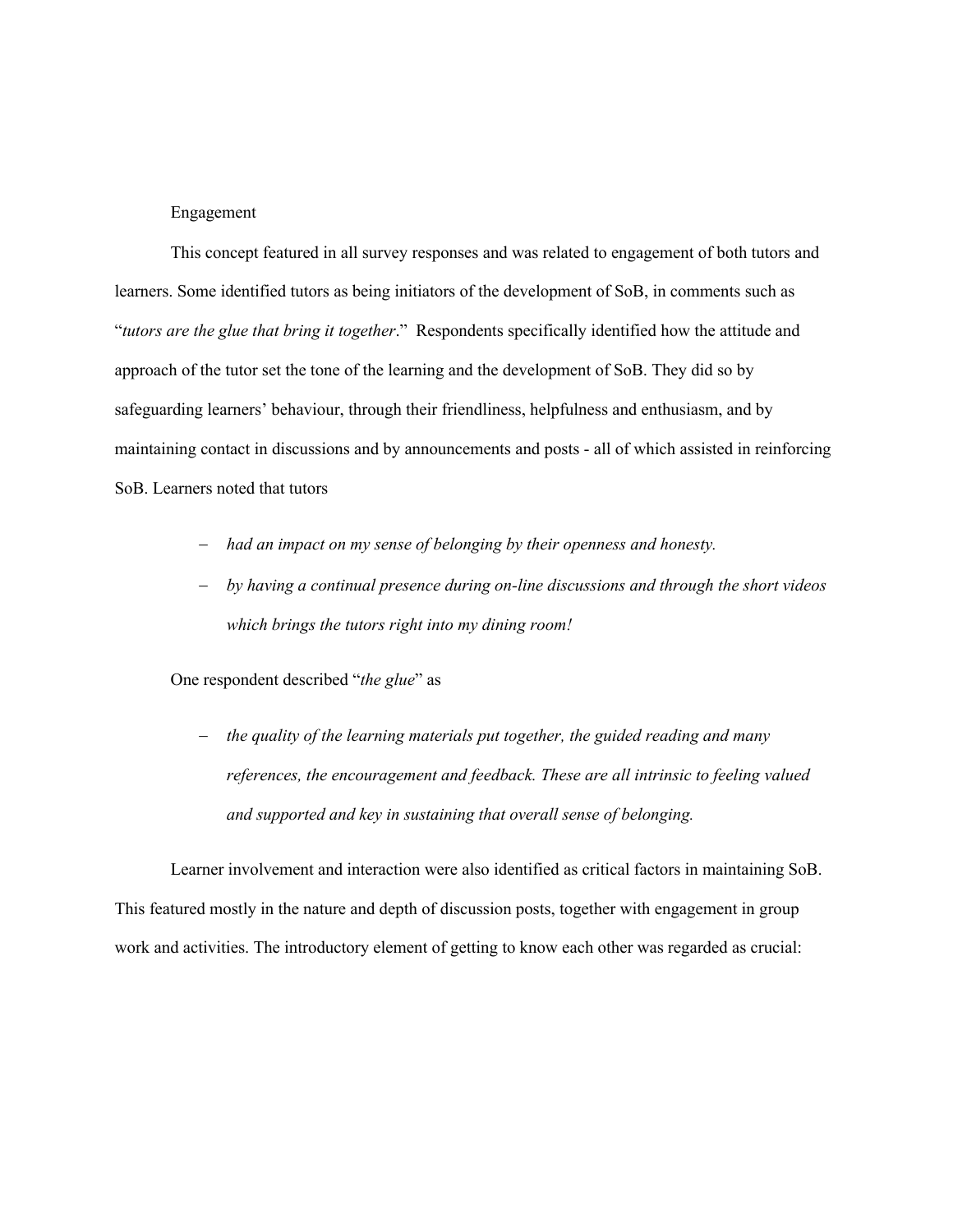Engagement

This concept featured in all survey responses and was related to engagement of both tutors and learners. Some identified tutors as being initiators of the development of SoB, in comments such as "*tutors are the glue that bring it together*." Respondents specifically identified how the attitude and approach of the tutor set the tone of the learning and the development of SoB. They did so by safeguarding learners' behaviour, through their friendliness, helpfulness and enthusiasm, and by maintaining contact in discussions and by announcements and posts - all of which assisted in reinforcing SoB. Learners noted that tutors

- *had an impact on my sense of belonging by their openness and honesty.*
- *by having a continual presence during on-line discussions and through the short videos which brings the tutors right into my dining room!*

One respondent described "*the glue*" as

- *the quality of the learning materials put together, the guided reading and many references, the encouragement and feedback. These are all intrinsic to feeling valued and supported and key in sustaining that overall sense of belonging.*

Learner involvement and interaction were also identified as critical factors in maintaining SoB. This featured mostly in the nature and depth of discussion posts, together with engagement in group work and activities. The introductory element of getting to know each other was regarded as crucial: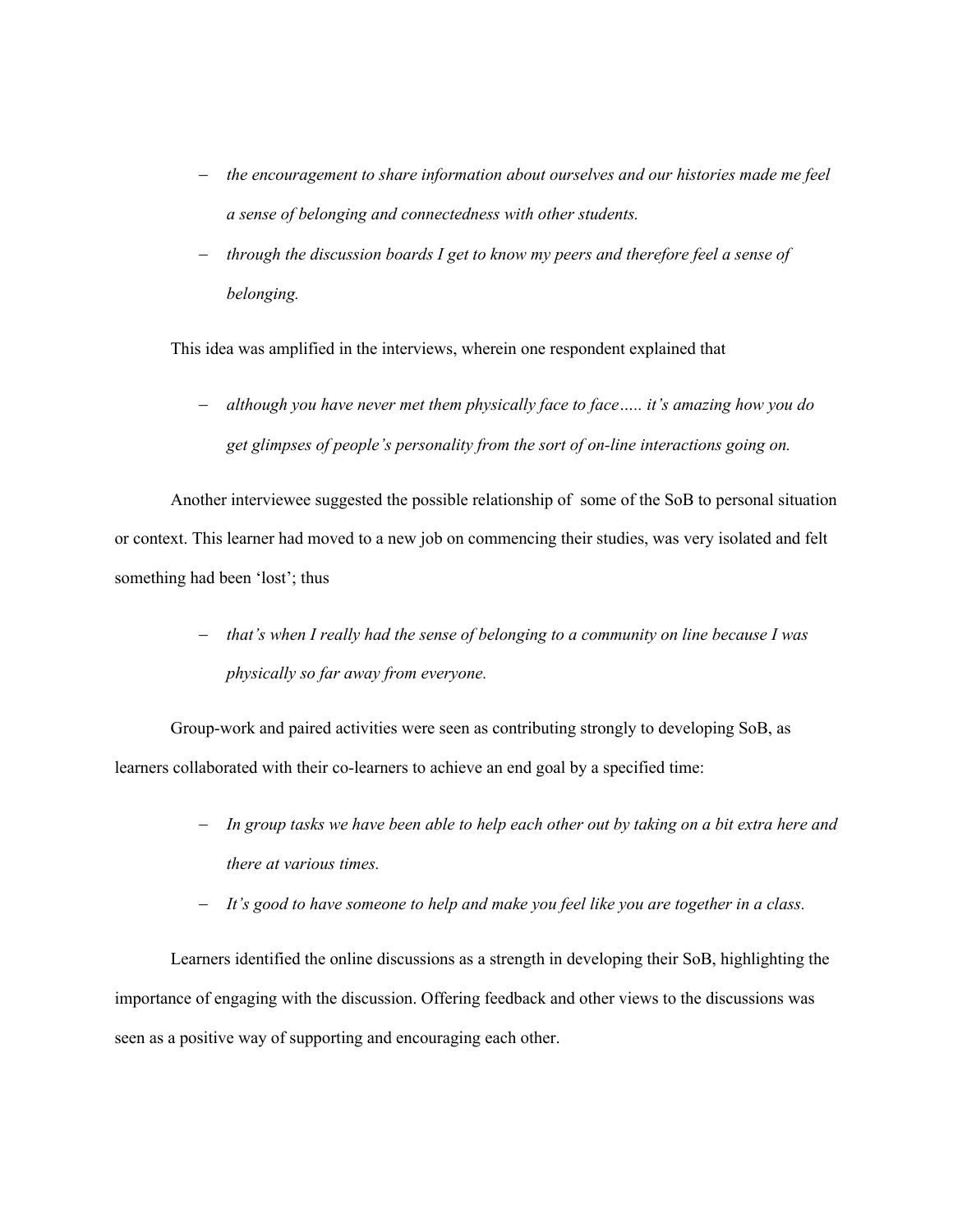- *the encouragement to share information about ourselves and our histories made me feel a sense of belonging and connectedness with other students.*
- through the discussion boards I get to know my peers and therefore feel a sense of *belonging.*

This idea was amplified in the interviews, wherein one respondent explained that

- *although you have never met them physically face to face….. it's amazing how you do get glimpses of people's personality from the sort of on-line interactions going on.* 

Another interviewee suggested the possible relationship of some of the SoB to personal situation or context. This learner had moved to a new job on commencing their studies, was very isolated and felt something had been 'lost'; thus

> - *that's when I really had the sense of belonging to a community on line because I was physically so far away from everyone.*

Group-work and paired activities were seen as contributing strongly to developing SoB, as learners collaborated with their co-learners to achieve an end goal by a specified time:

- *In group tasks we have been able to help each other out by taking on a bit extra here and there at various times.*
- *It's good to have someone to help and make you feel like you are together in a class.*

Learners identified the online discussions as a strength in developing their SoB, highlighting the importance of engaging with the discussion. Offering feedback and other views to the discussions was seen as a positive way of supporting and encouraging each other.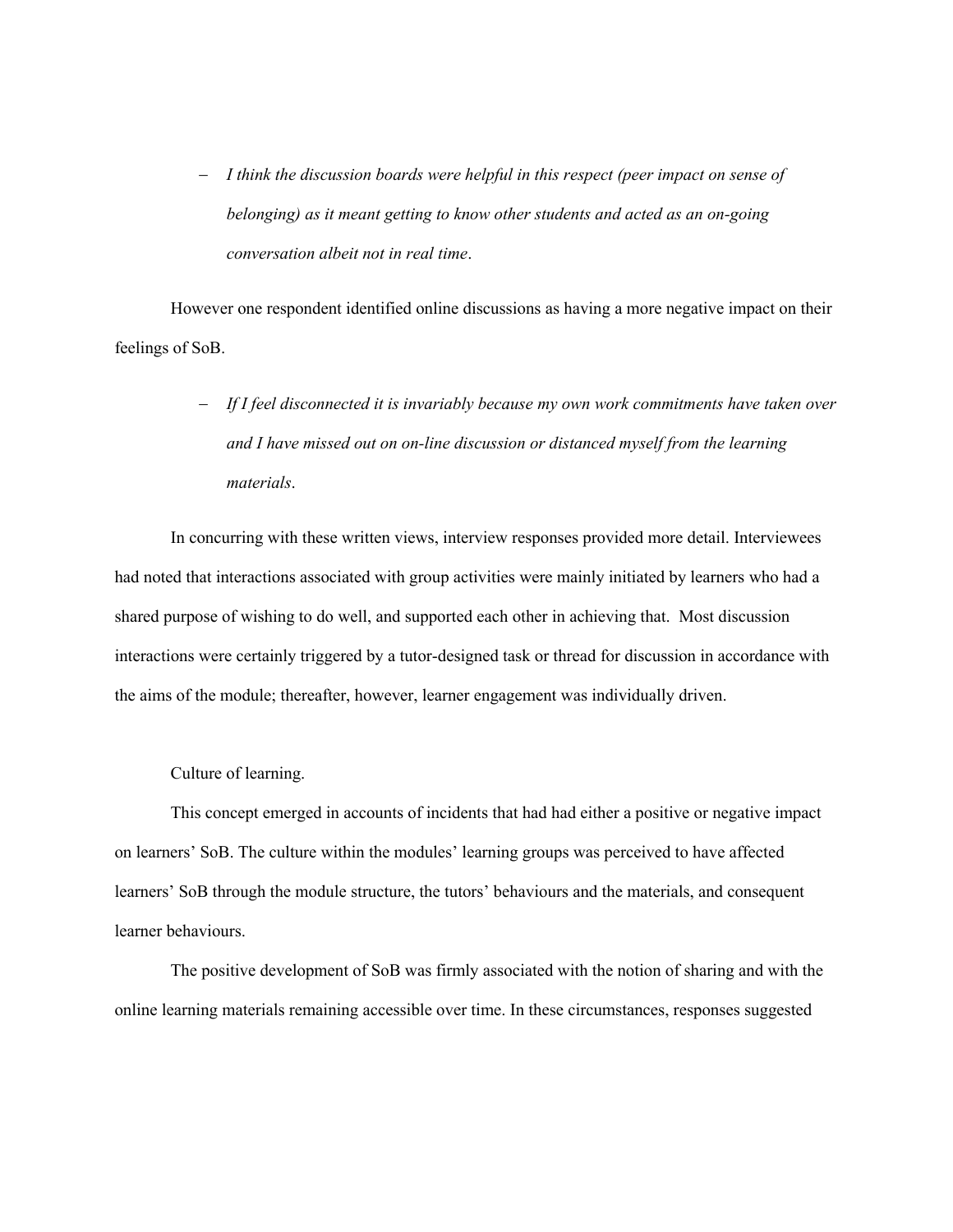- *I think the discussion boards were helpful in this respect (peer impact on sense of belonging) as it meant getting to know other students and acted as an on-going conversation albeit not in real time*.

However one respondent identified online discussions as having a more negative impact on their feelings of SoB.

> - *If I feel disconnected it is invariably because my own work commitments have taken over and I have missed out on on-line discussion or distanced myself from the learning materials*.

In concurring with these written views, interview responses provided more detail. Interviewees had noted that interactions associated with group activities were mainly initiated by learners who had a shared purpose of wishing to do well, and supported each other in achieving that. Most discussion interactions were certainly triggered by a tutor-designed task or thread for discussion in accordance with the aims of the module; thereafter, however, learner engagement was individually driven.

Culture of learning.

This concept emerged in accounts of incidents that had had either a positive or negative impact on learners' SoB. The culture within the modules' learning groups was perceived to have affected learners' SoB through the module structure, the tutors' behaviours and the materials, and consequent learner behaviours.

The positive development of SoB was firmly associated with the notion of sharing and with the online learning materials remaining accessible over time. In these circumstances, responses suggested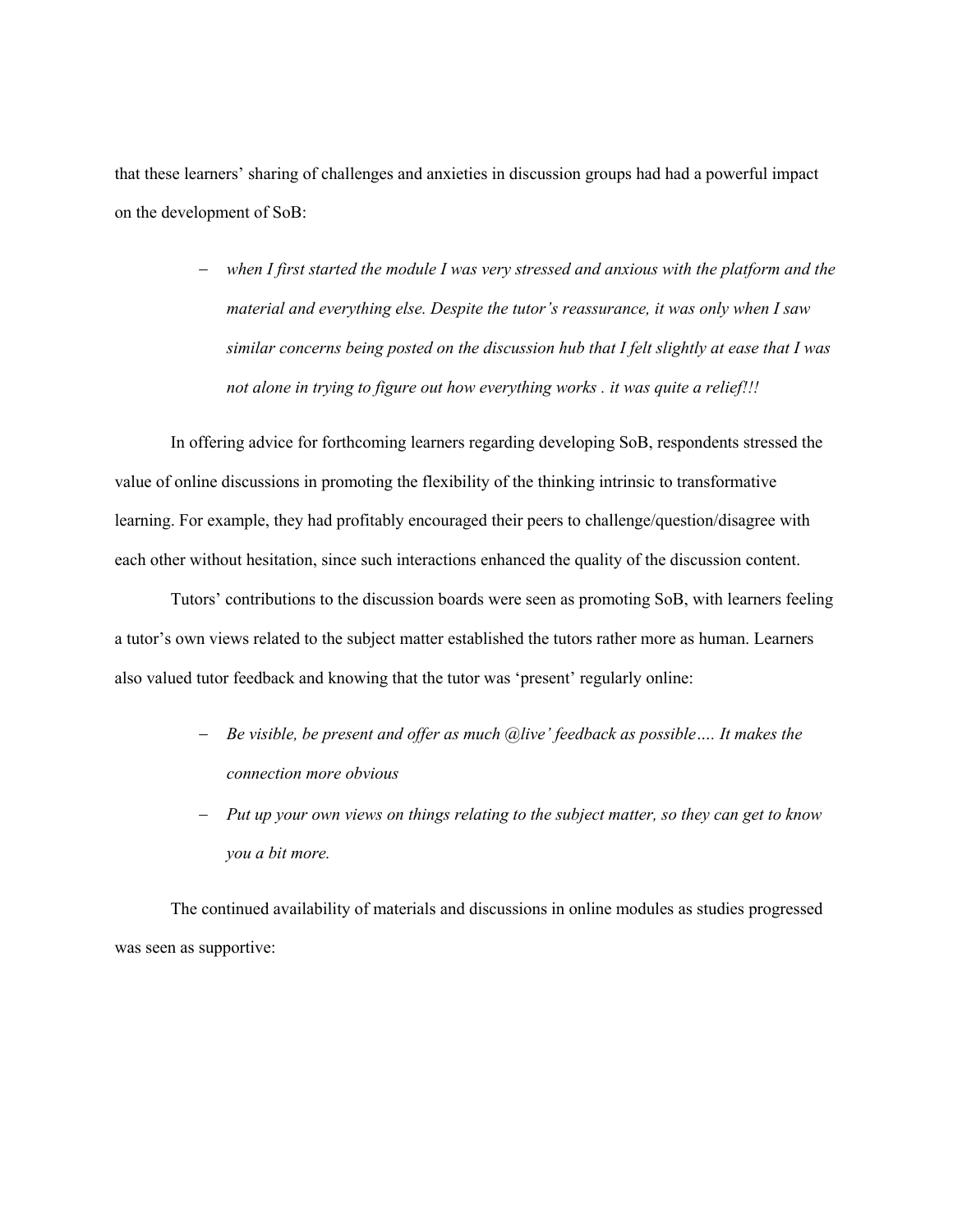that these learners' sharing of challenges and anxieties in discussion groups had had a powerful impact on the development of SoB:

> - *when I first started the module I was very stressed and anxious with the platform and the material and everything else. Despite the tutor's reassurance, it was only when I saw similar concerns being posted on the discussion hub that I felt slightly at ease that I was not alone in trying to figure out how everything works . it was quite a relief!!!*

In offering advice for forthcoming learners regarding developing SoB, respondents stressed the value of online discussions in promoting the flexibility of the thinking intrinsic to transformative learning. For example, they had profitably encouraged their peers to challenge/question/disagree with each other without hesitation, since such interactions enhanced the quality of the discussion content.

Tutors' contributions to the discussion boards were seen as promoting SoB, with learners feeling a tutor's own views related to the subject matter established the tutors rather more as human. Learners also valued tutor feedback and knowing that the tutor was 'present' regularly online:

- *Be visible, be present and offer as much @live' feedback as possible…. It makes the connection more obvious*
- *Put up your own views on things relating to the subject matter, so they can get to know you a bit more.*

The continued availability of materials and discussions in online modules as studies progressed was seen as supportive: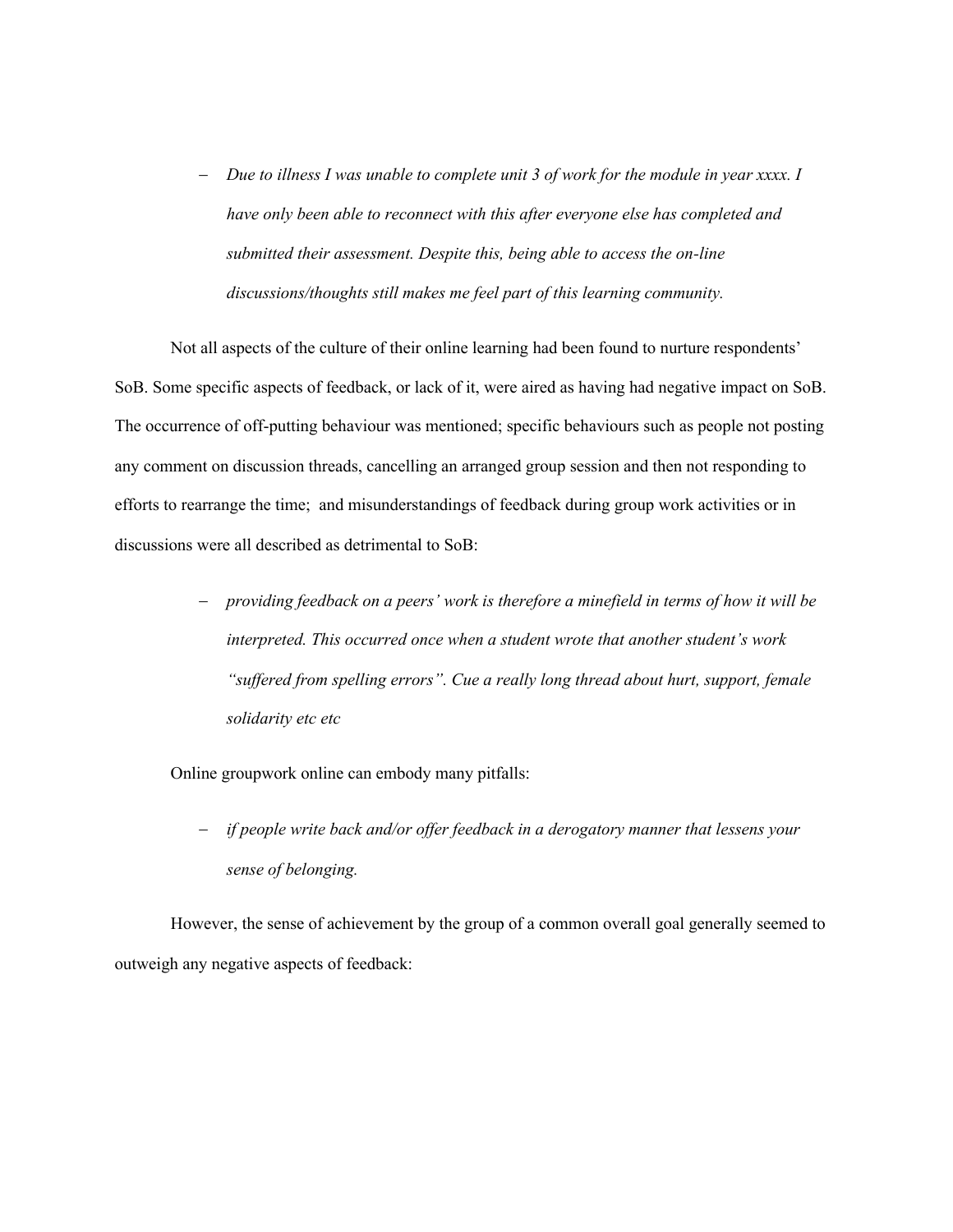- *Due to illness I was unable to complete unit 3 of work for the module in year xxxx. I have only been able to reconnect with this after everyone else has completed and submitted their assessment. Despite this, being able to access the on-line discussions/thoughts still makes me feel part of this learning community.*

Not all aspects of the culture of their online learning had been found to nurture respondents' SoB. Some specific aspects of feedback, or lack of it, were aired as having had negative impact on SoB. The occurrence of off-putting behaviour was mentioned; specific behaviours such as people not posting any comment on discussion threads, cancelling an arranged group session and then not responding to efforts to rearrange the time; and misunderstandings of feedback during group work activities or in discussions were all described as detrimental to SoB:

> - *providing feedback on a peers' work is therefore a minefield in terms of how it will be interpreted. This occurred once when a student wrote that another student's work "suffered from spelling errors". Cue a really long thread about hurt, support, female solidarity etc etc*

Online groupwork online can embody many pitfalls:

- *if people write back and/or offer feedback in a derogatory manner that lessens your sense of belonging.*

However, the sense of achievement by the group of a common overall goal generally seemed to outweigh any negative aspects of feedback: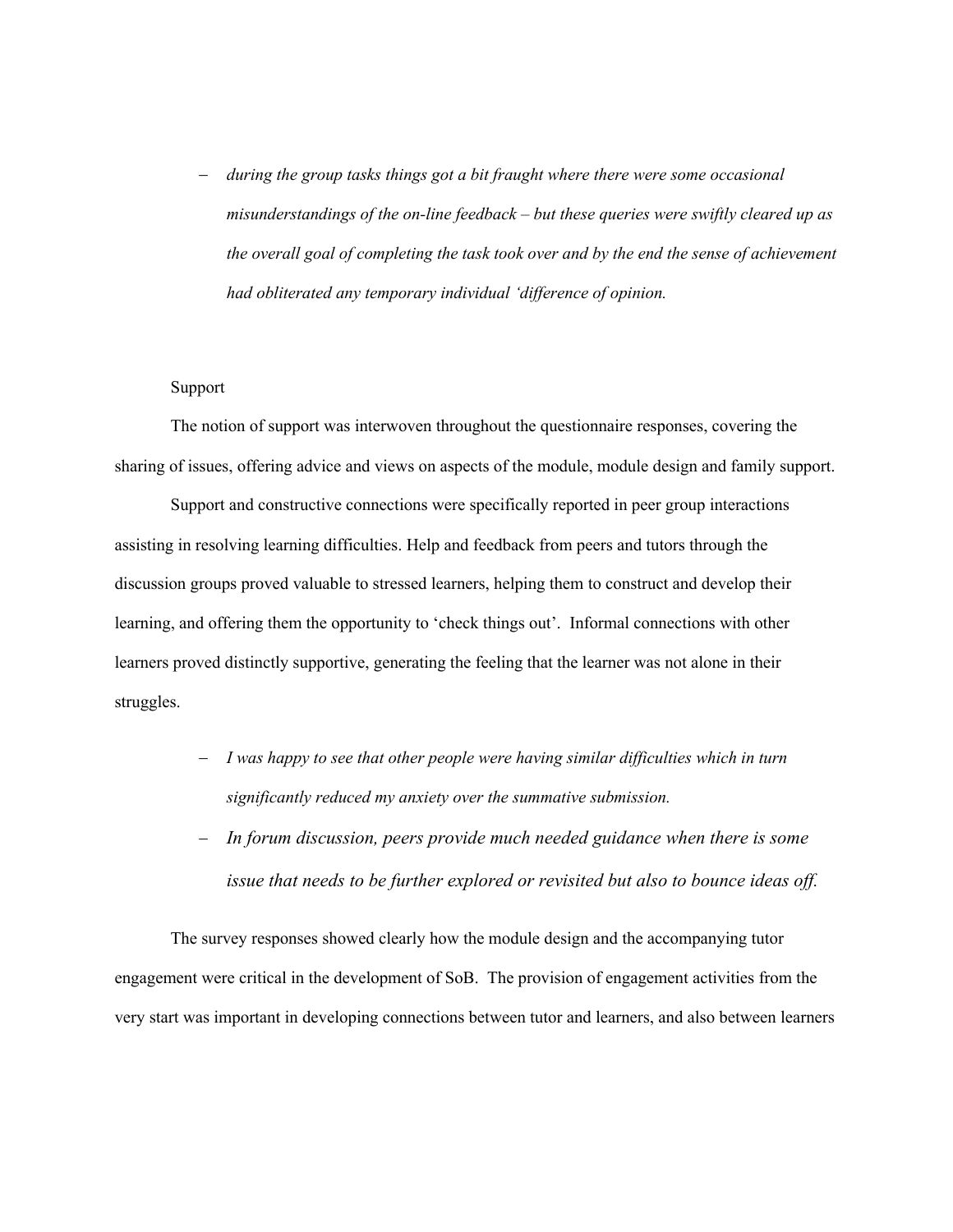- *during the group tasks things got a bit fraught where there were some occasional misunderstandings of the on-line feedback – but these queries were swiftly cleared up as the overall goal of completing the task took over and by the end the sense of achievement had obliterated any temporary individual 'difference of opinion.*

# Support

The notion of support was interwoven throughout the questionnaire responses, covering the sharing of issues, offering advice and views on aspects of the module, module design and family support.

Support and constructive connections were specifically reported in peer group interactions assisting in resolving learning difficulties. Help and feedback from peers and tutors through the discussion groups proved valuable to stressed learners, helping them to construct and develop their learning, and offering them the opportunity to 'check things out'. Informal connections with other learners proved distinctly supportive, generating the feeling that the learner was not alone in their struggles.

- *I was happy to see that other people were having similar difficulties which in turn significantly reduced my anxiety over the summative submission.*
- *In forum discussion, peers provide much needed guidance when there is some issue that needs to be further explored or revisited but also to bounce ideas off.*

The survey responses showed clearly how the module design and the accompanying tutor engagement were critical in the development of SoB. The provision of engagement activities from the very start was important in developing connections between tutor and learners, and also between learners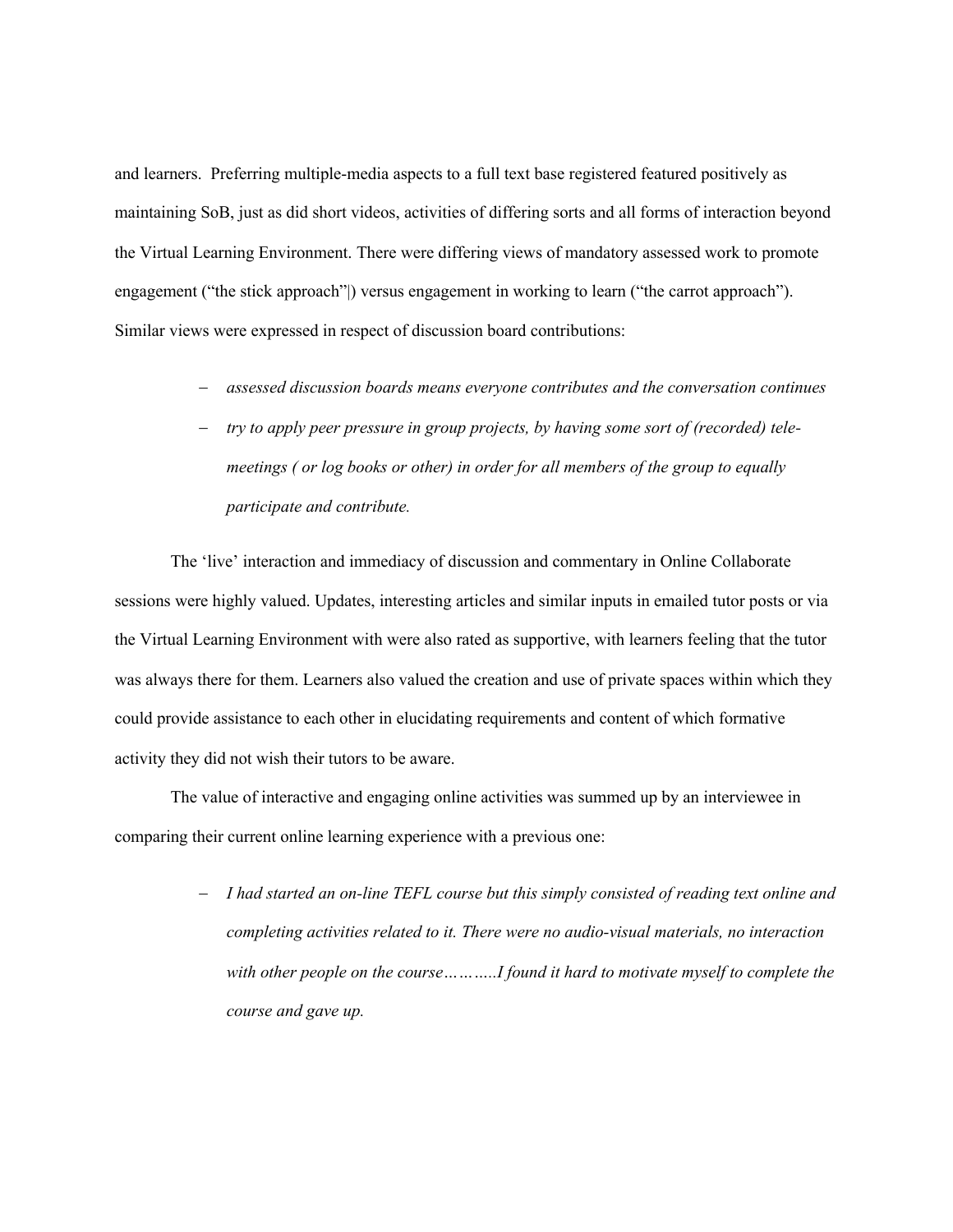and learners. Preferring multiple-media aspects to a full text base registered featured positively as maintaining SoB, just as did short videos, activities of differing sorts and all forms of interaction beyond the Virtual Learning Environment. There were differing views of mandatory assessed work to promote engagement ("the stick approach"|) versus engagement in working to learn ("the carrot approach"). Similar views were expressed in respect of discussion board contributions:

- *assessed discussion boards means everyone contributes and the conversation continues*
- *try to apply peer pressure in group projects, by having some sort of (recorded) telemeetings ( or log books or other) in order for all members of the group to equally participate and contribute.*

The 'live' interaction and immediacy of discussion and commentary in Online Collaborate sessions were highly valued. Updates, interesting articles and similar inputs in emailed tutor posts or via the Virtual Learning Environment with were also rated as supportive, with learners feeling that the tutor was always there for them. Learners also valued the creation and use of private spaces within which they could provide assistance to each other in elucidating requirements and content of which formative activity they did not wish their tutors to be aware.

The value of interactive and engaging online activities was summed up by an interviewee in comparing their current online learning experience with a previous one:

> - *I had started an on-line TEFL course but this simply consisted of reading text online and completing activities related to it. There were no audio-visual materials, no interaction with other people on the course………..I found it hard to motivate myself to complete the course and gave up.*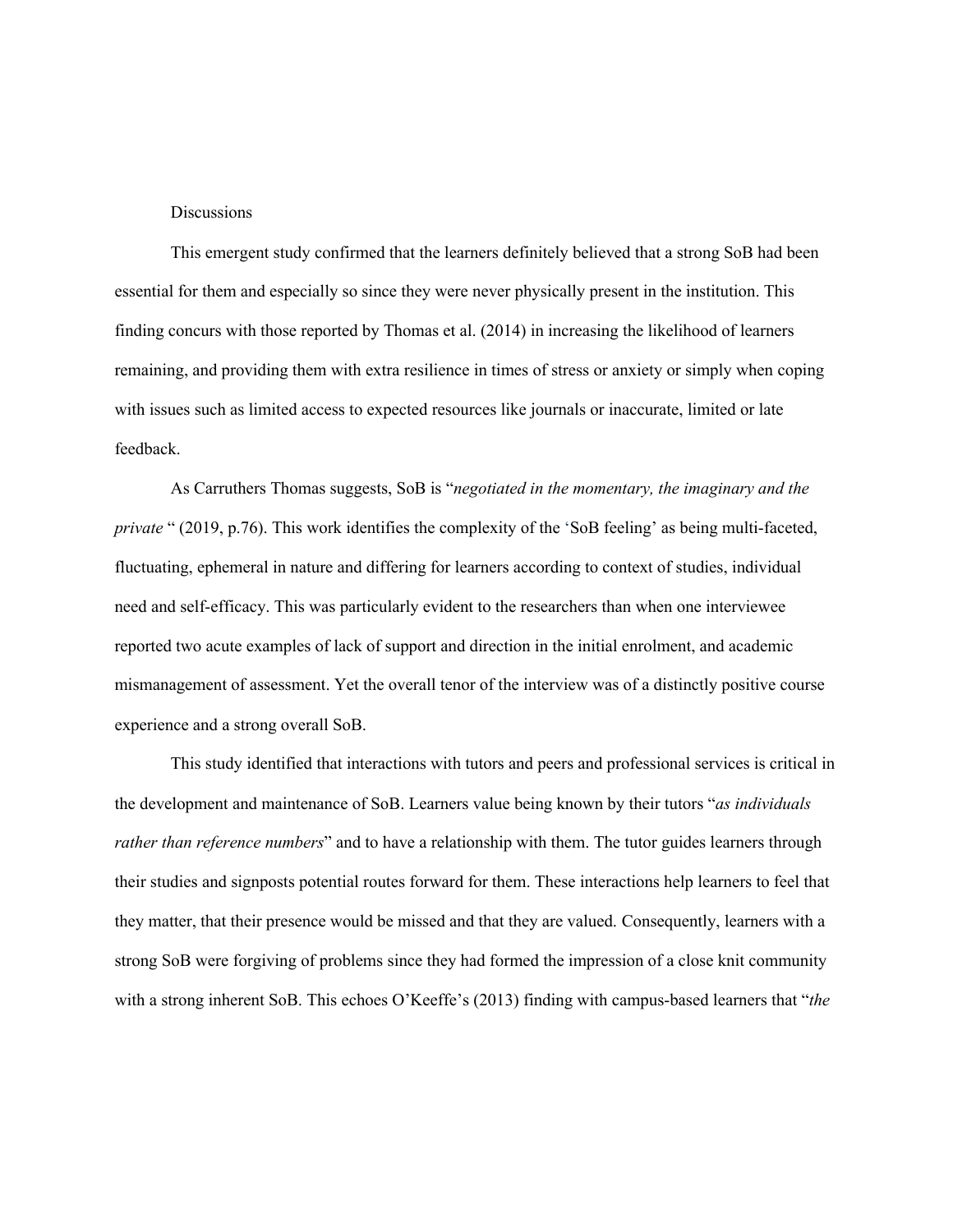#### **Discussions**

This emergent study confirmed that the learners definitely believed that a strong SoB had been essential for them and especially so since they were never physically present in the institution. This finding concurs with those reported by Thomas et al. (2014) in increasing the likelihood of learners remaining, and providing them with extra resilience in times of stress or anxiety or simply when coping with issues such as limited access to expected resources like journals or inaccurate, limited or late feedback.

As Carruthers Thomas suggests, SoB is "*negotiated in the momentary, the imaginary and the private* " (2019, p.76). This work identifies the complexity of the 'SoB feeling' as being multi-faceted, fluctuating, ephemeral in nature and differing for learners according to context of studies, individual need and self-efficacy. This was particularly evident to the researchers than when one interviewee reported two acute examples of lack of support and direction in the initial enrolment, and academic mismanagement of assessment. Yet the overall tenor of the interview was of a distinctly positive course experience and a strong overall SoB.

This study identified that interactions with tutors and peers and professional services is critical in the development and maintenance of SoB. Learners value being known by their tutors "*as individuals rather than reference numbers*" and to have a relationship with them. The tutor guides learners through their studies and signposts potential routes forward for them. These interactions help learners to feel that they matter, that their presence would be missed and that they are valued. Consequently, learners with a strong SoB were forgiving of problems since they had formed the impression of a close knit community with a strong inherent SoB. This echoes O'Keeffe's (2013) finding with campus-based learners that "*the*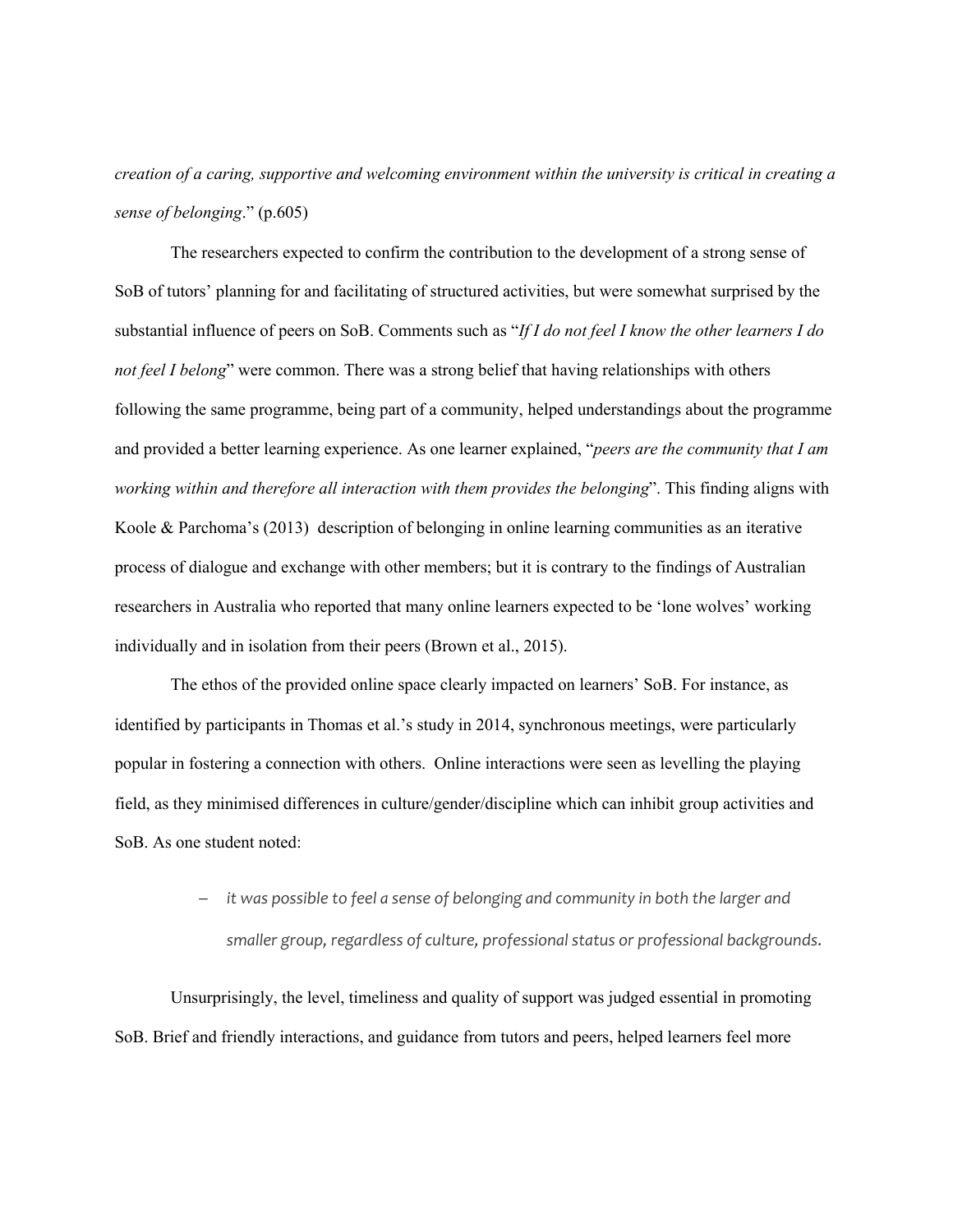*creation of a caring, supportive and welcoming environment within the university is critical in creating a sense of belonging*." (p.605)

The researchers expected to confirm the contribution to the development of a strong sense of SoB of tutors' planning for and facilitating of structured activities, but were somewhat surprised by the substantial influence of peers on SoB. Comments such as "*If I do not feel I know the other learners I do not feel I belong*" were common. There was a strong belief that having relationships with others following the same programme, being part of a community, helped understandings about the programme and provided a better learning experience. As one learner explained, "*peers are the community that I am working within and therefore all interaction with them provides the belonging*". This finding aligns with Koole & Parchoma's (2013) description of belonging in online learning communities as an iterative process of dialogue and exchange with other members; but it is contrary to the findings of Australian researchers in Australia who reported that many online learners expected to be 'lone wolves' working individually and in isolation from their peers (Brown et al., 2015).

The ethos of the provided online space clearly impacted on learners' SoB. For instance, as identified by participants in Thomas et al.'s study in 2014, synchronous meetings, were particularly popular in fostering a connection with others. Online interactions were seen as levelling the playing field, as they minimised differences in culture/gender/discipline which can inhibit group activities and SoB. As one student noted:

> - *it was possible to feel a sense of belonging and community in both the larger and smaller group, regardless of culture, professional status or professional backgrounds*.

Unsurprisingly, the level, timeliness and quality of support was judged essential in promoting SoB. Brief and friendly interactions, and guidance from tutors and peers, helped learners feel more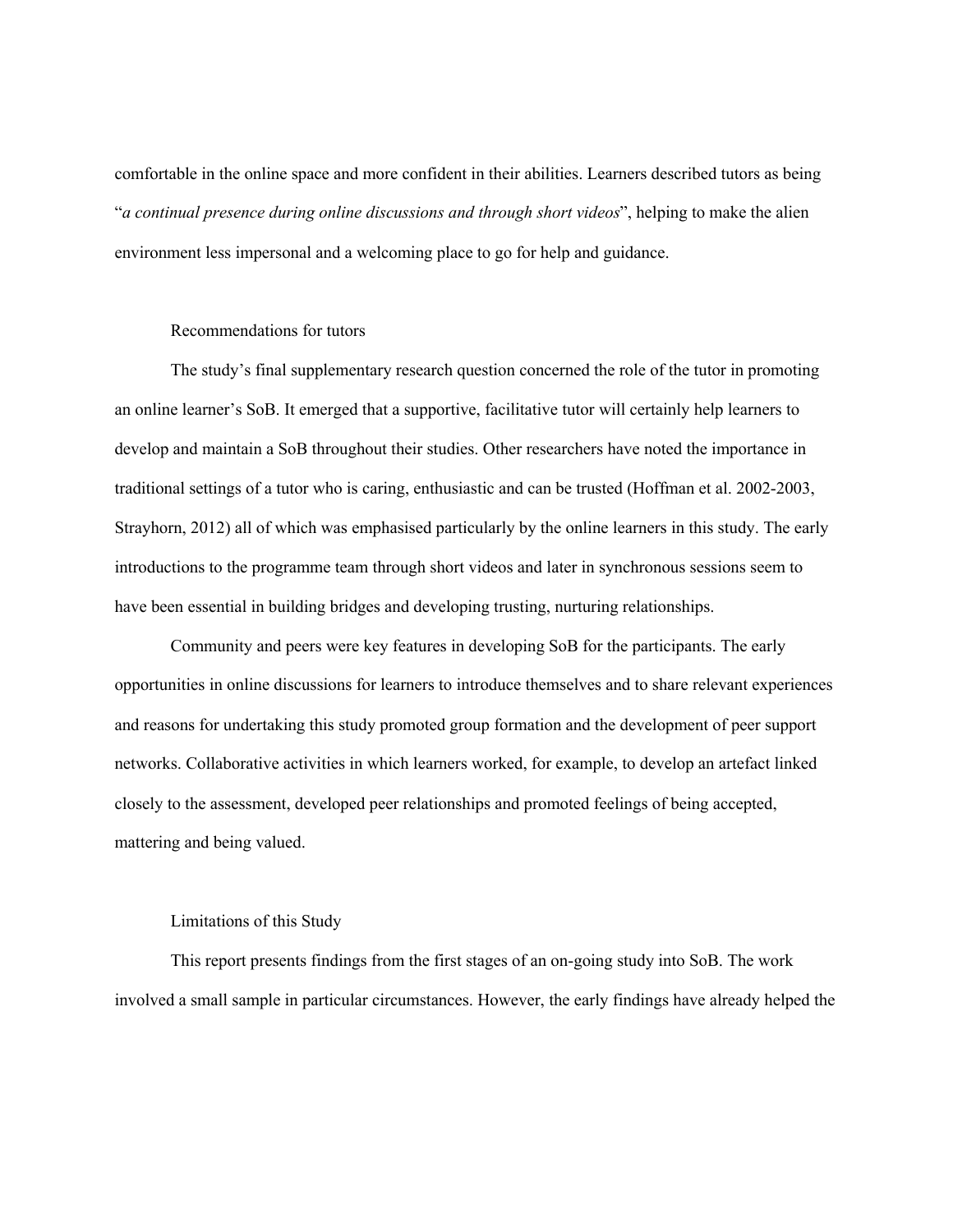comfortable in the online space and more confident in their abilities. Learners described tutors as being "*a continual presence during online discussions and through short videos*", helping to make the alien environment less impersonal and a welcoming place to go for help and guidance.

# Recommendations for tutors

The study's final supplementary research question concerned the role of the tutor in promoting an online learner's SoB. It emerged that a supportive, facilitative tutor will certainly help learners to develop and maintain a SoB throughout their studies. Other researchers have noted the importance in traditional settings of a tutor who is caring, enthusiastic and can be trusted (Hoffman et al. 2002-2003, Strayhorn, 2012) all of which was emphasised particularly by the online learners in this study. The early introductions to the programme team through short videos and later in synchronous sessions seem to have been essential in building bridges and developing trusting, nurturing relationships.

Community and peers were key features in developing SoB for the participants. The early opportunities in online discussions for learners to introduce themselves and to share relevant experiences and reasons for undertaking this study promoted group formation and the development of peer support networks. Collaborative activities in which learners worked, for example, to develop an artefact linked closely to the assessment, developed peer relationships and promoted feelings of being accepted, mattering and being valued.

# Limitations of this Study

This report presents findings from the first stages of an on-going study into SoB. The work involved a small sample in particular circumstances. However, the early findings have already helped the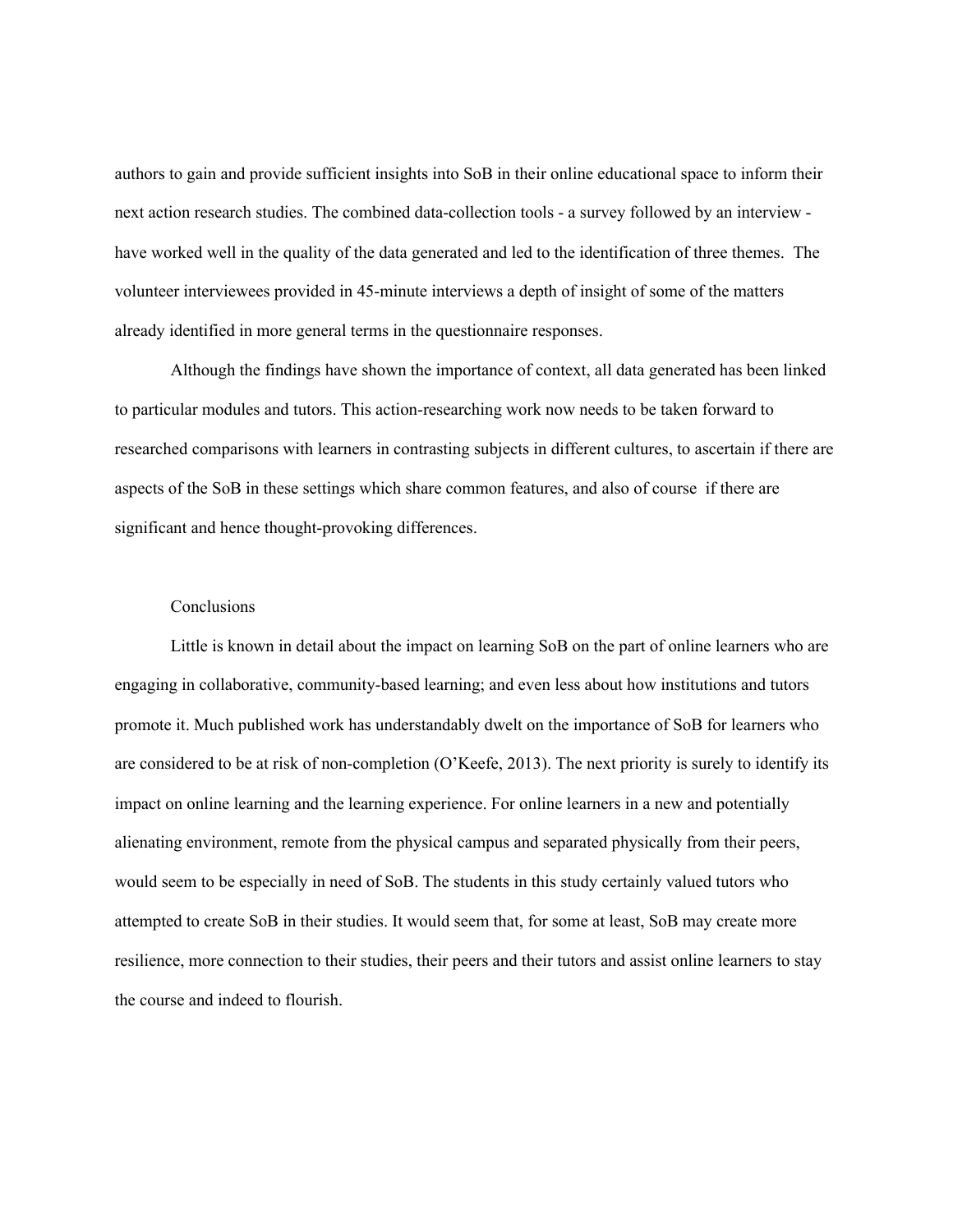authors to gain and provide sufficient insights into SoB in their online educational space to inform their next action research studies. The combined data-collection tools - a survey followed by an interview have worked well in the quality of the data generated and led to the identification of three themes. The volunteer interviewees provided in 45-minute interviews a depth of insight of some of the matters already identified in more general terms in the questionnaire responses.

Although the findings have shown the importance of context, all data generated has been linked to particular modules and tutors. This action-researching work now needs to be taken forward to researched comparisons with learners in contrasting subjects in different cultures, to ascertain if there are aspects of the SoB in these settings which share common features, and also of course if there are significant and hence thought-provoking differences.

# Conclusions

Little is known in detail about the impact on learning SoB on the part of online learners who are engaging in collaborative, community-based learning; and even less about how institutions and tutors promote it. Much published work has understandably dwelt on the importance of SoB for learners who are considered to be at risk of non-completion (O'Keefe, 2013). The next priority is surely to identify its impact on online learning and the learning experience. For online learners in a new and potentially alienating environment, remote from the physical campus and separated physically from their peers, would seem to be especially in need of SoB. The students in this study certainly valued tutors who attempted to create SoB in their studies. It would seem that, for some at least, SoB may create more resilience, more connection to their studies, their peers and their tutors and assist online learners to stay the course and indeed to flourish.